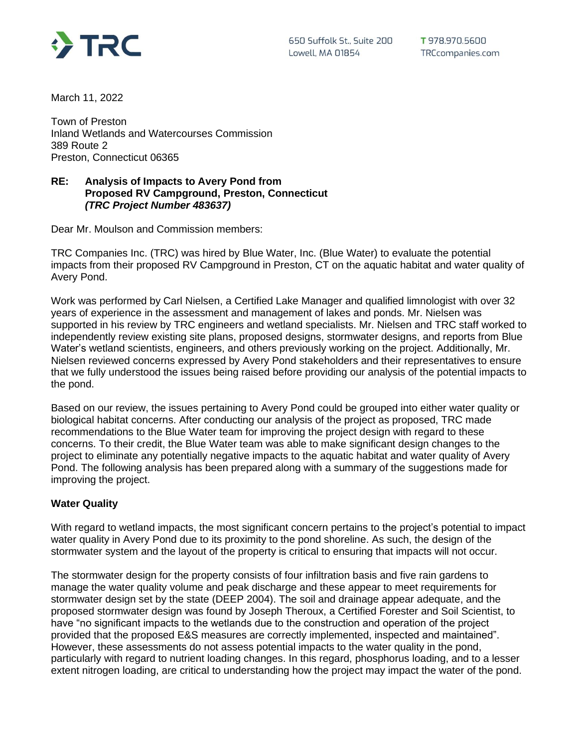

March 11, 2022

Town of Preston Inland Wetlands and Watercourses Commission 389 Route 2 Preston, Connecticut 06365

## **RE: Analysis of Impacts to Avery Pond from Proposed RV Campground, Preston, Connecticut** *(TRC Project Number 483637)*

Dear Mr. Moulson and Commission members:

TRC Companies Inc. (TRC) was hired by Blue Water, Inc. (Blue Water) to evaluate the potential impacts from their proposed RV Campground in Preston, CT on the aquatic habitat and water quality of Avery Pond.

Work was performed by Carl Nielsen, a Certified Lake Manager and qualified limnologist with over 32 years of experience in the assessment and management of lakes and ponds. Mr. Nielsen was supported in his review by TRC engineers and wetland specialists. Mr. Nielsen and TRC staff worked to independently review existing site plans, proposed designs, stormwater designs, and reports from Blue Water's wetland scientists, engineers, and others previously working on the project. Additionally, Mr. Nielsen reviewed concerns expressed by Avery Pond stakeholders and their representatives to ensure that we fully understood the issues being raised before providing our analysis of the potential impacts to the pond.

Based on our review, the issues pertaining to Avery Pond could be grouped into either water quality or biological habitat concerns. After conducting our analysis of the project as proposed, TRC made recommendations to the Blue Water team for improving the project design with regard to these concerns. To their credit, the Blue Water team was able to make significant design changes to the project to eliminate any potentially negative impacts to the aquatic habitat and water quality of Avery Pond. The following analysis has been prepared along with a summary of the suggestions made for improving the project.

# **Water Quality**

With regard to wetland impacts, the most significant concern pertains to the project's potential to impact water quality in Avery Pond due to its proximity to the pond shoreline. As such, the design of the stormwater system and the layout of the property is critical to ensuring that impacts will not occur.

The stormwater design for the property consists of four infiltration basis and five rain gardens to manage the water quality volume and peak discharge and these appear to meet requirements for stormwater design set by the state (DEEP 2004). The soil and drainage appear adequate, and the proposed stormwater design was found by Joseph Theroux, a Certified Forester and Soil Scientist, to have "no significant impacts to the wetlands due to the construction and operation of the project provided that the proposed E&S measures are correctly implemented, inspected and maintained". However, these assessments do not assess potential impacts to the water quality in the pond, particularly with regard to nutrient loading changes. In this regard, phosphorus loading, and to a lesser extent nitrogen loading, are critical to understanding how the project may impact the water of the pond.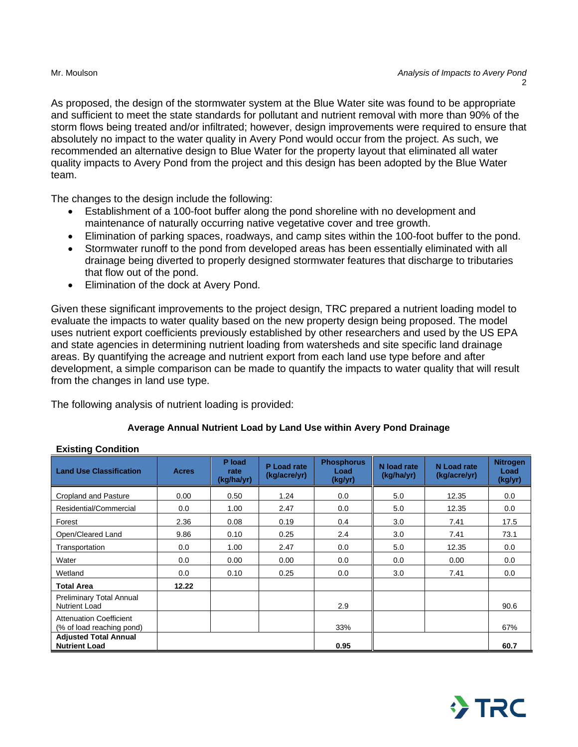As proposed, the design of the stormwater system at the Blue Water site was found to be appropriate and sufficient to meet the state standards for pollutant and nutrient removal with more than 90% of the storm flows being treated and/or infiltrated; however, design improvements were required to ensure that absolutely no impact to the water quality in Avery Pond would occur from the project. As such, we recommended an alternative design to Blue Water for the property layout that eliminated all water quality impacts to Avery Pond from the project and this design has been adopted by the Blue Water team.

The changes to the design include the following:

- Establishment of a 100-foot buffer along the pond shoreline with no development and maintenance of naturally occurring native vegetative cover and tree growth.
- Elimination of parking spaces, roadways, and camp sites within the 100-foot buffer to the pond.
- Stormwater runoff to the pond from developed areas has been essentially eliminated with all drainage being diverted to properly designed stormwater features that discharge to tributaries that flow out of the pond.
- Elimination of the dock at Avery Pond.

Given these significant improvements to the project design, TRC prepared a nutrient loading model to evaluate the impacts to water quality based on the new property design being proposed. The model uses nutrient export coefficients previously established by other researchers and used by the US EPA and state agencies in determining nutrient loading from watersheds and site specific land drainage areas. By quantifying the acreage and nutrient export from each land use type before and after development, a simple comparison can be made to quantify the impacts to water quality that will result from the changes in land use type.

The following analysis of nutrient loading is provided:

# **Average Annual Nutrient Load by Land Use within Avery Pond Drainage**

| <b>Land Use Classification</b>                              | <b>Acres</b> | P load<br>rate<br>(kg/ha/yr) | P Load rate<br>(kg/acre/yr) | <b>Phosphorus</b><br>Load<br>(kg/yr) | N load rate<br>(kg/ha/yr) | N Load rate<br>(kg/acre/yr) | <b>Nitrogen</b><br>Load<br>(kg/yr) |
|-------------------------------------------------------------|--------------|------------------------------|-----------------------------|--------------------------------------|---------------------------|-----------------------------|------------------------------------|
| <b>Cropland and Pasture</b>                                 | 0.00         | 0.50                         | 1.24                        | 0.0                                  | 5.0                       | 12.35                       | 0.0                                |
| Residential/Commercial                                      | 0.0          | 1.00                         | 2.47                        | 0.0                                  | 5.0                       | 12.35                       | 0.0                                |
| Forest                                                      | 2.36         | 0.08                         | 0.19                        | 0.4                                  | 3.0                       | 7.41                        | 17.5                               |
| Open/Cleared Land                                           | 9.86         | 0.10                         | 0.25                        | 2.4                                  | 3.0                       | 7.41                        | 73.1                               |
| Transportation                                              | 0.0          | 1.00                         | 2.47                        | 0.0                                  | 5.0                       | 12.35                       | 0.0                                |
| Water                                                       | 0.0          | 0.00                         | 0.00                        | 0.0                                  | 0.0                       | 0.00                        | 0.0                                |
| Wetland                                                     | 0.0          | 0.10                         | 0.25                        | 0.0                                  | 3.0                       | 7.41                        | 0.0                                |
| <b>Total Area</b>                                           | 12.22        |                              |                             |                                      |                           |                             |                                    |
| <b>Preliminary Total Annual</b><br><b>Nutrient Load</b>     |              |                              |                             | 2.9                                  |                           |                             | 90.6                               |
| <b>Attenuation Coefficient</b><br>(% of load reaching pond) |              |                              |                             | 33%                                  |                           |                             | 67%                                |
| <b>Adjusted Total Annual</b><br><b>Nutrient Load</b>        |              |                              |                             | 0.95                                 |                           |                             | 60.7                               |

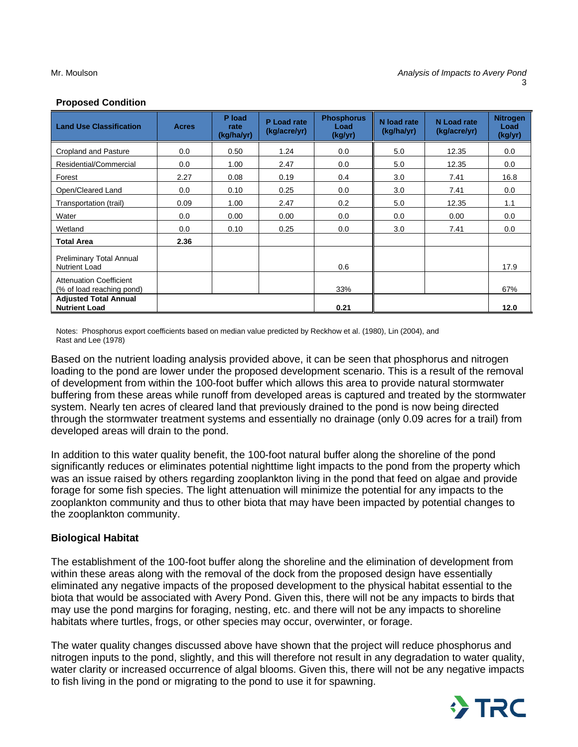### **Proposed Condition**

| <b>Land Use Classification</b>                              | <b>Acres</b> | P load<br>rate<br>(kg/ha/yr) | P Load rate<br>(kg/acre/yr) | <b>Phosphorus</b><br>Load<br>(kg/yr) | N load rate<br>(kg/ha/yr) | N Load rate<br>(kg/acre/yr) | <b>Nitrogen</b><br>Load<br>(kg/yr) |
|-------------------------------------------------------------|--------------|------------------------------|-----------------------------|--------------------------------------|---------------------------|-----------------------------|------------------------------------|
| <b>Cropland and Pasture</b>                                 | 0.0          | 0.50                         | 1.24                        | 0.0                                  | 5.0                       | 12.35                       | 0.0                                |
| Residential/Commercial                                      | 0.0          | 1.00                         | 2.47                        | 0.0                                  | 5.0                       | 12.35                       | 0.0                                |
| Forest                                                      | 2.27         | 0.08                         | 0.19                        | 0.4                                  | 3.0                       | 7.41                        | 16.8                               |
| Open/Cleared Land                                           | 0.0          | 0.10                         | 0.25                        | 0.0                                  | 3.0                       | 7.41                        | 0.0                                |
| Transportation (trail)                                      | 0.09         | 1.00                         | 2.47                        | 0.2                                  | 5.0                       | 12.35                       | 1.1                                |
| Water                                                       | 0.0          | 0.00                         | 0.00                        | 0.0                                  | 0.0                       | 0.00                        | 0.0                                |
| Wetland                                                     | 0.0          | 0.10                         | 0.25                        | 0.0                                  | 3.0                       | 7.41                        | 0.0                                |
| <b>Total Area</b>                                           | 2.36         |                              |                             |                                      |                           |                             |                                    |
| Preliminary Total Annual<br><b>Nutrient Load</b>            |              |                              |                             | 0.6                                  |                           |                             | 17.9                               |
| <b>Attenuation Coefficient</b><br>(% of load reaching pond) |              |                              |                             | 33%                                  |                           |                             | 67%                                |
| <b>Adjusted Total Annual</b><br><b>Nutrient Load</b>        |              |                              |                             | 0.21                                 |                           |                             | 12.0                               |

Notes: Phosphorus export coefficients based on median value predicted by Reckhow et al. (1980), Lin (2004), and Rast and Lee (1978)

Based on the nutrient loading analysis provided above, it can be seen that phosphorus and nitrogen loading to the pond are lower under the proposed development scenario. This is a result of the removal of development from within the 100-foot buffer which allows this area to provide natural stormwater buffering from these areas while runoff from developed areas is captured and treated by the stormwater system. Nearly ten acres of cleared land that previously drained to the pond is now being directed through the stormwater treatment systems and essentially no drainage (only 0.09 acres for a trail) from developed areas will drain to the pond.

In addition to this water quality benefit, the 100-foot natural buffer along the shoreline of the pond significantly reduces or eliminates potential nighttime light impacts to the pond from the property which was an issue raised by others regarding zooplankton living in the pond that feed on algae and provide forage for some fish species. The light attenuation will minimize the potential for any impacts to the zooplankton community and thus to other biota that may have been impacted by potential changes to the zooplankton community.

### **Biological Habitat**

The establishment of the 100-foot buffer along the shoreline and the elimination of development from within these areas along with the removal of the dock from the proposed design have essentially eliminated any negative impacts of the proposed development to the physical habitat essential to the biota that would be associated with Avery Pond. Given this, there will not be any impacts to birds that may use the pond margins for foraging, nesting, etc. and there will not be any impacts to shoreline habitats where turtles, frogs, or other species may occur, overwinter, or forage.

The water quality changes discussed above have shown that the project will reduce phosphorus and nitrogen inputs to the pond, slightly, and this will therefore not result in any degradation to water quality, water clarity or increased occurrence of algal blooms. Given this, there will not be any negative impacts to fish living in the pond or migrating to the pond to use it for spawning.